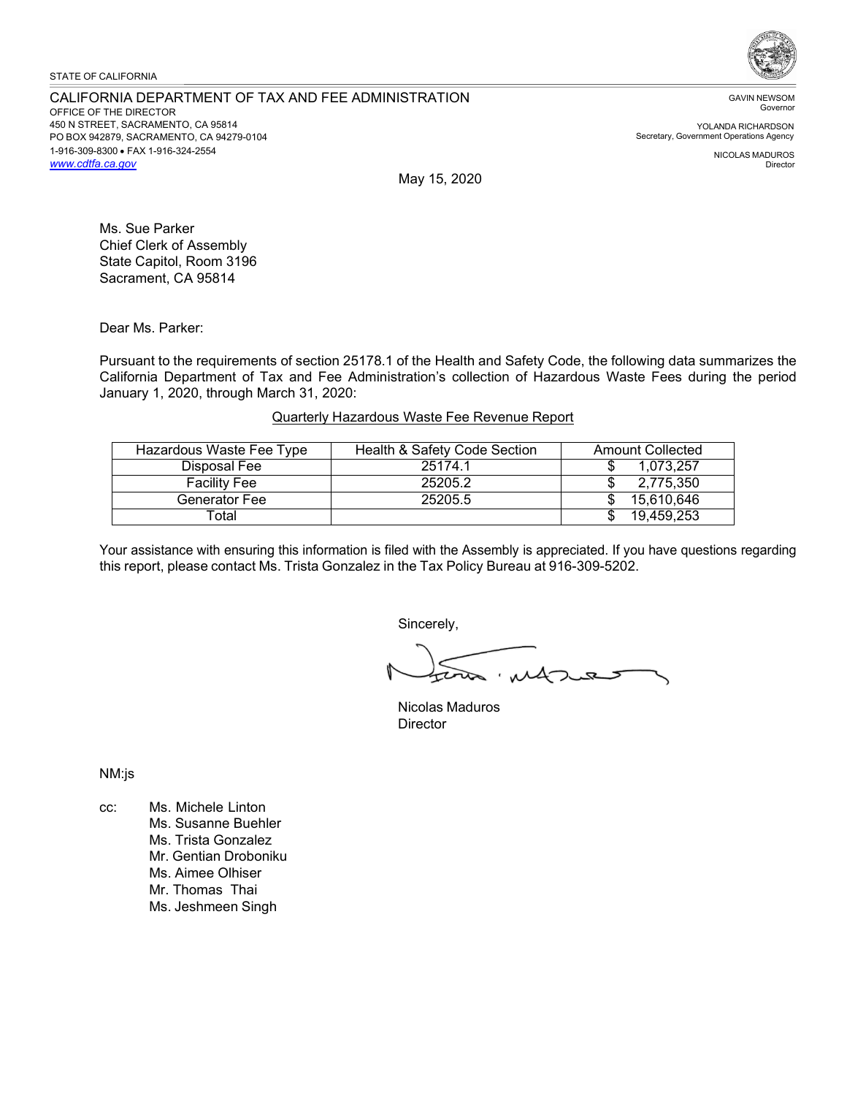### STATE OF CALIFORNIA

#### CALIFORNIA DEPARTMENT OF TAX AND FEE ADMINISTRATION OFFICE OF THE DIRECTOR 450 N STREET, SACRAMENTO, CA 95814 PO BOX 942879, SACRAMENTO, CA 94279-0104 1-916-309-8300 • FAX 1-916-324-2554 *[www.cdtfa.ca.gov](http://www.cdtfa.ca.gov/)*



GAVIN NEWSOM Governor

YOLANDA RICHARDSON Secretary, Government Operations Agency

> NICOLAS MADUROS Director

May 15, 2020

Ms. Sue Parker Chief Clerk of Assembly State Capitol, Room 3196 Sacrament, CA 95814

Dear Ms. Parker:

Pursuant to the requirements of section 25178.1 of the Health and Safety Code, the following data summarizes the California Department of Tax and Fee Administration's collection of Hazardous Waste Fees during the period January 1, 2020, through March 31, 2020:

# Quarterly Hazardous Waste Fee Revenue Report

| Hazardous Waste Fee Type | Health & Safety Code Section | <b>Amount Collected</b> |
|--------------------------|------------------------------|-------------------------|
| Disposal Fee             | 25174.1                      | 1.073.257               |
| <b>Facility Fee</b>      | 25205.2                      | 2,775,350               |
| Generator Fee            | 25205.5                      | 15.610.646              |
| Total                    |                              | 19.459.253              |

Your assistance with ensuring this information is filed with the Assembly is appreciated. If you have questions regarding this report, please contact Ms. Trista Gonzalez in the Tax Policy Bureau at 916-309-5202.

Sincerely,

Nicolas Maduros **Director** 

NM:js

cc: Ms. Michele Linton Ms. Susanne Buehler Ms. Trista Gonzalez Mr. Gentian Droboniku Ms. Aimee Olhiser Mr. Thomas Thai Ms. Jeshmeen Singh